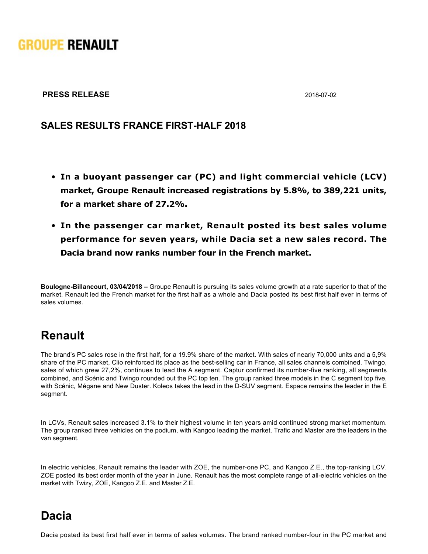# **GROUPE RENAULT**

#### **PRESS RELEASE** 2018-07-02

### **SALES RESULTS FRANCE FIRST-HALF 2018**

- **In a buoyant passenger car (PC) and light commercial vehicle (LCV) market, Groupe Renault increased registrations by 5.8%, to 389,221 units, for a market share of 27.2%.**
- **In the passenger car market, Renault posted its best sales volume performance for seven years, while Dacia set a new sales record. The Dacia brand now ranks number four in the French market.**

**Boulogne-Billancourt, 03/04/2018 –** Groupe Renault is pursuing its sales volume growth at a rate superior to that of the market. Renault led the French market for the first half as a whole and Dacia posted its best first half ever in terms of sales volumes.

## **Renault**

The brand's PC sales rose in the first half, for a 19.9% share of the market. With sales of nearly 70,000 units and a 5,9% share of the PC market, Clio reinforced its place as the best-selling car in France, all sales channels combined. Twingo, sales of which grew 27,2%, continues to lead the A segment. Captur confirmed its number-five ranking, all segments combined, and Scénic and Twingo rounded out the PC top ten. The group ranked three models in the C segment top five, with Scénic, Mégane and New Duster. Koleos takes the lead in the D-SUV segment. Espace remains the leader in the E segment.

In LCVs, Renault sales increased 3.1% to their highest volume in ten years amid continued strong market momentum. The group ranked three vehicles on the podium, with Kangoo leading the market. Trafic and Master are the leaders in the van segment.

In electric vehicles, Renault remains the leader with ZOE, the number-one PC, and Kangoo Z.E., the top-ranking LCV. ZOE posted its best order month of the year in June. Renault has the most complete range of all-electric vehicles on the market with Twizy, ZOE, Kangoo Z.E. and Master Z.E.

## **Dacia**

Dacia posted its best first half ever in terms of sales volumes. The brand ranked number-four in the PC market and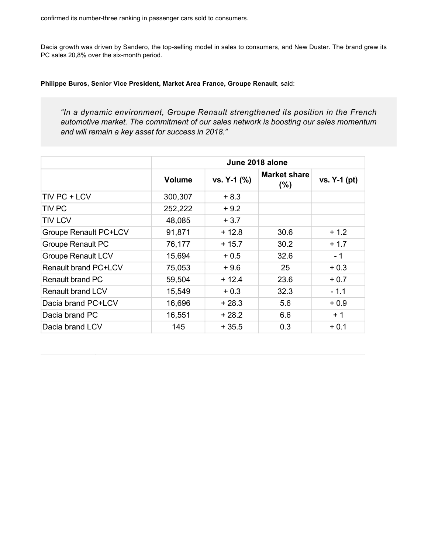Dacia growth was driven by Sandero, the top-selling model in sales to consumers, and New Duster. The brand grew its PC sales 20,8% over the six-month period.

Dacia posted its best first half ever in terms of sales volumes. The brand ranked numberfour in the PC market and

**Philippe Buros, Senior Vice President, Market Area France, Groupe Renault**, said:

*"In a dynamic environment, Groupe Renault strengthened its position in the French automotive market. The commitment of our sales network is boosting our sales momentum and will remain a key asset for success in 2018."*

|                              | June 2018 alone |             |                     |                |  |
|------------------------------|-----------------|-------------|---------------------|----------------|--|
|                              | <b>Volume</b>   | vs. Y-1 (%) | Market share<br>(%) | vs. $Y-1$ (pt) |  |
| TIV PC + LCV                 | 300,307         | $+8.3$      |                     |                |  |
| <b>TIV PC</b>                | 252,222         | $+9.2$      |                     |                |  |
| <b>TIV LCV</b>               | 48,085          | $+3.7$      |                     |                |  |
| <b>Groupe Renault PC+LCV</b> | 91,871          | $+12.8$     | 30.6                | $+1.2$         |  |
| <b>Groupe Renault PC</b>     | 76,177          | $+15.7$     | 30.2                | $+1.7$         |  |
| <b>Groupe Renault LCV</b>    | 15,694          | $+0.5$      | 32.6                | $-1$           |  |
| <b>Renault brand PC+LCV</b>  | 75,053          | $+9.6$      | 25                  | $+0.3$         |  |
| <b>Renault brand PC</b>      | 59,504          | $+12.4$     | 23.6                | $+0.7$         |  |
| <b>Renault brand LCV</b>     | 15,549          | $+0.3$      | 32.3                | $-1.1$         |  |
| Dacia brand PC+LCV           | 16,696          | $+28.3$     | 5.6                 | $+0.9$         |  |
| Dacia brand PC               | 16,551          | $+28.2$     | 6.6                 | $+1$           |  |
| Dacia brand LCV              | 145             | $+35.5$     | 0.3                 | $+0.1$         |  |